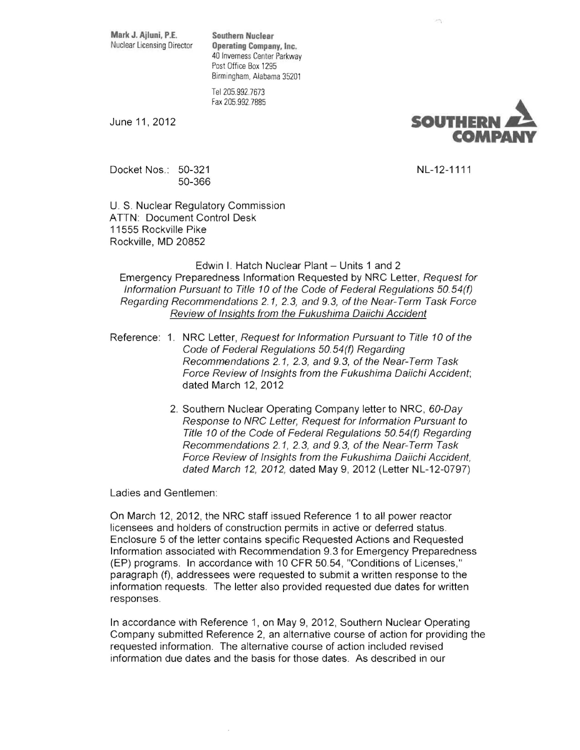**Mark J. Ailuni.** P.E. **Southern Nuclear** 

**Operating Company, Inc.** 40 Inverness Center Parkway Post Office Box 1295 Birmingham, Alabama 35201

Tel 205. 992.7673 Fax 205.992.7885



Docket Nos.: 50-321 NL-12-1111 50-366

U. S. Nuclear Regulatory Commission ATTN: Document Control Desk 11555 Rockville Pike Rockville, MD 20852

## Edwin I. Hatch Nuclear Plant - Units 1 and 2 Emergency Preparedness Information Requested by NRC Letter, Request for Information Pursuant to Title 10 of the Code of Federal Regulations 50. 54(f) Regarding Recommendations 2.1, 2.3, and 9.3, ofthe Near-Term Task Force Review of Insights from the Fukushima Daiichi Accident

- Reference: 1. NRC Letter, Request for Information Pursuant to Title 10 of the Code of Federal Regulations 50.54(f) Regarding Recommendations 2.1, 2.3, and 9.3, of the Near-Term Task Force Review of Insights from the Fukushima Daiichi Accident; dated March 12, 2012
	- 2. Southern Nuclear Operating Company letter to NRC, 60-Day Response to NRC Letter, Request for Information Pursuant to Title 10 of the Code of Federal Regulations 50.54(f) Regarding Recommendations 2.1, 2.3, and 9.3, of the Near-Term Task Force Review of Insights from the Fukushima Daiichi Accident, dated March 12, 2012, dated May 9, 2012 (Letter NL-12-0797)

Ladies and Gentlemen:

On March 12, 2012, the NRC staff issued Reference 1 to all power reactor licensees and holders of construction permits in active or deferred status. Enclosure 5 of the letter contains specific Requested Actions and Requested Information associated with Recommendation 9.3 for Emergency Preparedness (EP) programs. In accordance with 10 CFR 50.54, "Conditions of Licenses," paragraph (t), addressees were requested to submit a written response to the information requests. The letter also provided requested due dates for written responses.

In accordance with Reference 1, on May 9, 2012, Southern Nuclear Operating Company submitted Reference 2, an alternative course of action for providing the requested information. The alternative course of action included revised information due dates and the basis for those dates. As described in our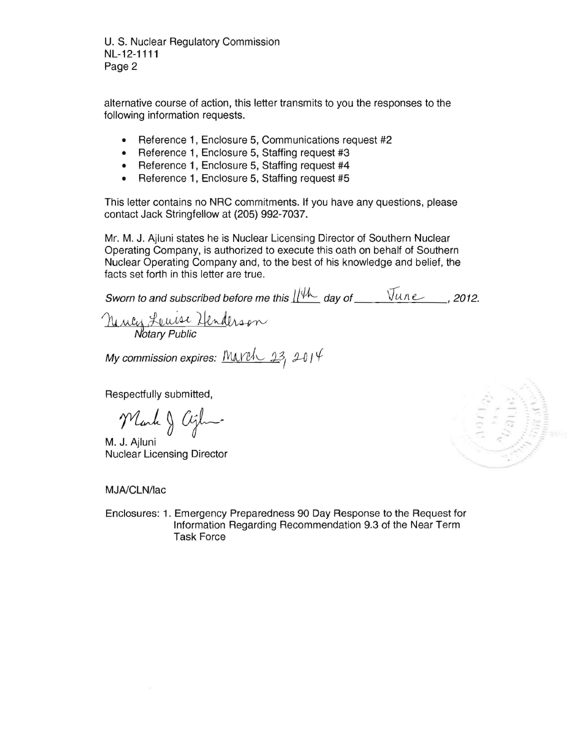U. S. Nuclear Regulatory Commission NL-12-1111 Page 2

alternative course of action, this letter transmits to you the responses to the following information requests.

- Reference 1, Enclosure 5, Communications request #2
- Reference 1, Enclosure 5, Staffing request #3
- Reference 1, Enclosure 5, Staffing request #4
- Reference 1, Enclosure 5, Staffing request #5

This letter contains no NRC commitments. If you have any questions, please contact Jack Stringfellow at (205) 992-7037.

Mr. M. J. Ajluni states he is Nuclear Licensing Director of Southern Nuclear Operating Company, is authorized to execute this oath on behalf of Southern Nuclear Operating Company and, to the best of his knowledge and belief, the facts set forth in this letter are true.

Sworn to and subscribed before me this  $\frac{1}{4}$  day of  $\frac{V_{un}e}{V_{un}e}$ , 2012.

Neuly Lewise Henderson

My commission expires:  $M\Lambda V$ eh,  $23$ ,  $2014$ 

Respectfully submitted,

Mark & Cight

M. J. Ajluni Nuclear Licensing Director

MJA/CLN/lac

Enclosures: 1. Emergency Preparedness 90 Day Response to the Request for Information Regarding Recommendation 9.3 of the Near Term Task Force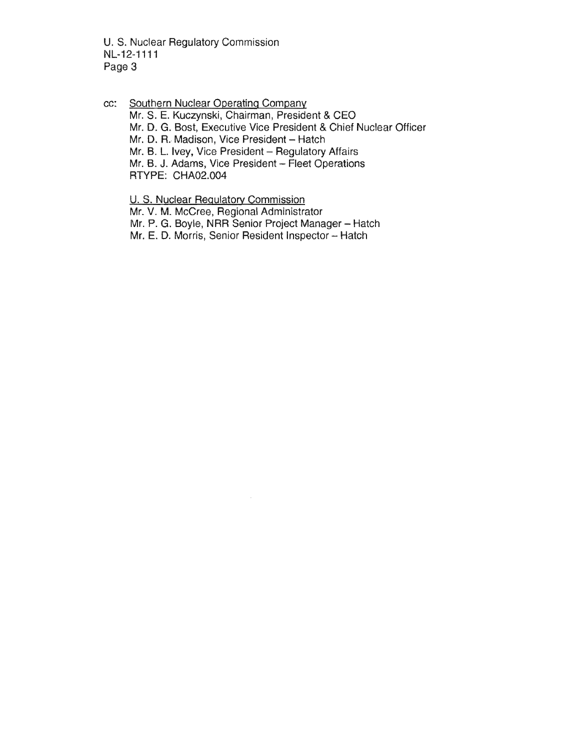U. S. Nuclear Regulatory Commission NL-12-1111 Page 3

cc: Southern Nuclear Operating Company Mr. S. E. Kuczynski, Chairman, President & CEO Mr. D. G. Bost, Executive Vice President & Chief Nuclear Officer Mr. D. R. Madison, Vice President - Hatch Mr. B. L. Ivey, Vice President - Regulatory Affairs Mr. B. J. Adams, Vice President - Fleet Operations RTYPE: CHA02.004

U. S. Nuclear Regulatory Commission Mr. V. M. McCree, Regional Administrator Mr. P. G. Boyle, NRR Senior Project Manager - Hatch Mr. E. D. Morris, Senior Resident Inspector - Hatch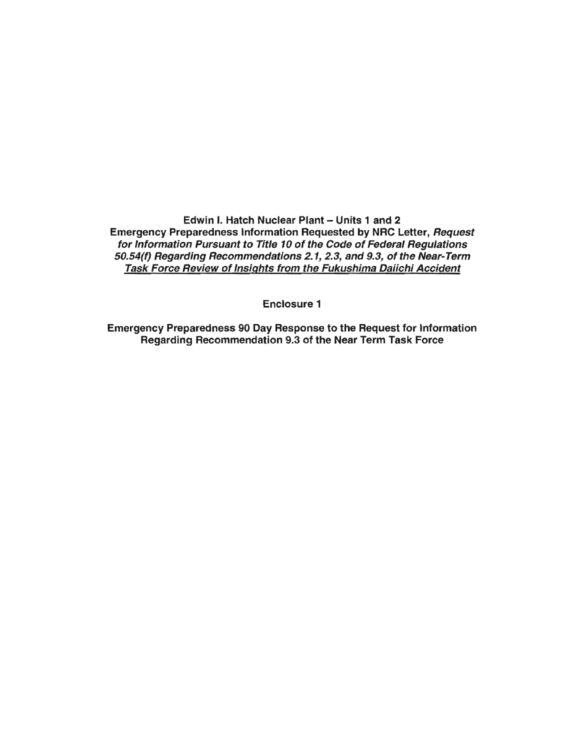Edwin I. Hatch Nuclear Plant - Units 1 and 2 Emergency Preparedness Information Requested by NRC Letter, Request for Information Pursuant to Title 10 of the Code of Federal Regulations 50.54(f) Regarding Recommendations 2.1, 2.3, and 9.3, of the Near-Term Task Force Review of Insights from the Fukushima Daiich; Accident

Enclosure 1

Emergency Preparedness 90 Day Response to the Request for Information Regarding Recommendation 9.3 of the Near Term Task Force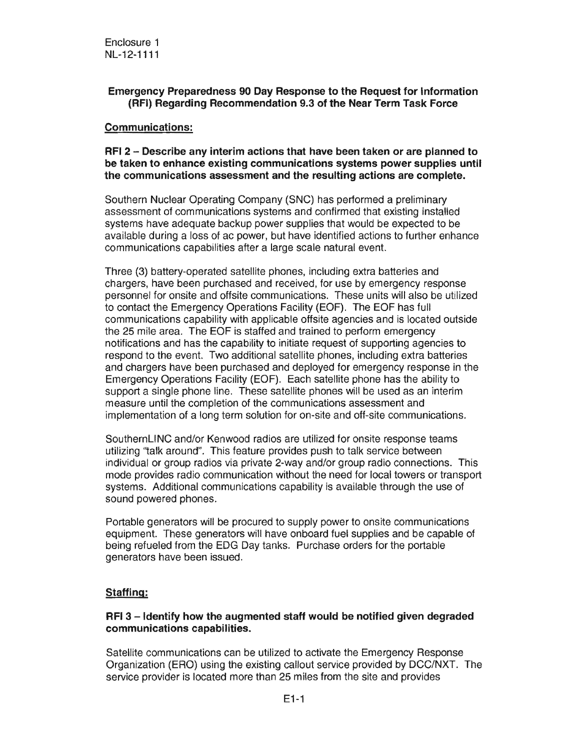# Emergency Preparedness 90 Day Response to the Request for information (RFI) Regarding Recommendation 9.3 of the Near Term Task Force

### Communications:

## RFI 2 - Describe any interim actions that have been taken or are planned to be taken to enhance existing communications systems power supplies until the communications assessment and the resulting actions are complete.

Southern Nuclear Operating Company (SNC) has performed a preliminary assessment of communications systems and confirmed that existing installed systems have adequate backup power supplies that would be expected to be available during a loss of ac power, but have identified actions to further enhance communications capabilities after a large scale natural event.

Three (3) battery-operated satellite phones, including extra batteries and chargers, have been purchased and received, for use by emergency response personnel for onsite and offsite communications. These units will also be utilized to contact the Emergency Operations Facility (EOF). The EOF has full communications capability with applicable offsite agencies and is located outside the 25 mile area. The EOF is staffed and trained to perform emergency notifications and has the capability to initiate request of supporting agencies to respond to the event. Two additional satellite phones, including extra batteries and chargers have been purchased and deployed for emergency response in Emergency Operations Facility (EOF). Each satellite phone has the ability to support a single phone line. These satellite phones will be used as an interim measure until the completion of the communications assessment and implementation of a long term solution for on-site and off-site communications.

SouthernLINC and/or Kenwood radios are utilized for onsite response teams utilizing ''talk around". This feature provides push to talk service between individual or group radios via private 2-way and/or group radio connections. This mode provides radio communication without the need for local towers or transport systems. Additional communications capability is available through the use of sound powered phones.

Portable generators will be procured to supply power to onsite communications equipment. These generators will have onboard fuel supplies and be capable of being refueled from the EDG Day tanks. Purchase orders for the portable generators have been issued.

# Staffing:

### $RFI$  3 - Identify how the augmented staff would be notified given degraded communications capabilities.

Satellite communications can be utilized to activate the Emergency Response Organization (ERO) using the existing callout service provided by DCC/NXT. service provider is located more than 25 miles from the site and provides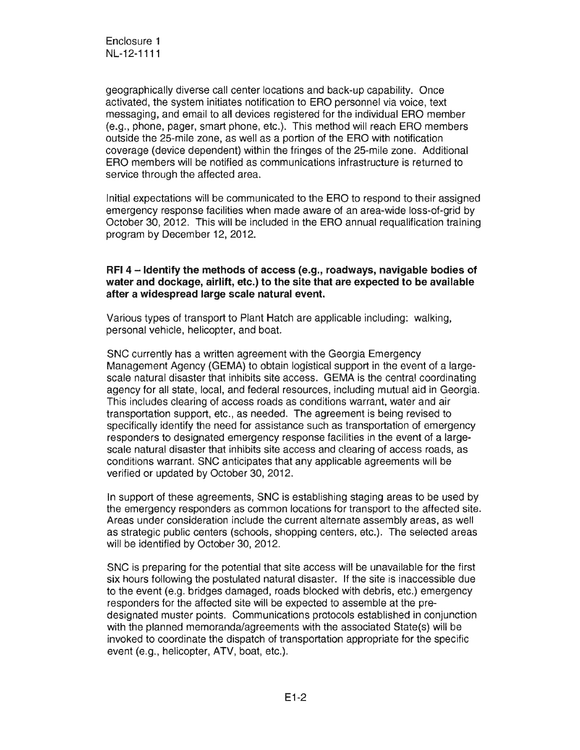geographically diverse call center locations and back-up capability. Once activated, the system initiates notification ERO personnel via voice, text messaging, and email to all devices registered for the individual ERO member (e.g., phone, pager, smart phone, etc.). This method will reach ERO members outside the 25-mile zone, as well as a portion of the ERO with notification coverage (device dependent) within fringes of the 25-mile zone. Additional ERO members will be notified as communications infrastructure is returned to service through the affected area.

Initial expectations will be communicated to the ERO to respond to their assigned emergency response facilities when made aware of an area-wide loss-of-grid by October 30, 2012. This will be included in the ERO annual requalification training program by December 12, 2012.

#### RFI4 - Identify the methods of access (e.g., roadways, navigable bodies of water and dockage, airlift, etc.) to the site that are expected to be available after a widespread large scale natural event.

Various types of transport to Plant Hatch are applicable including: walking, personal vehicle, helicopter, and boat.

SNC currently has a written agreement with the Georgia Emergency Management Agency (GEMA) to obtain logistical support in the event of a largescale natural disaster that inhibits site access. GEMA is the central coordinating agency for all state, local, and federal resources, including mutual aid in Georgia. This includes clearing of access roads as conditions warrant, water and air transportation support, etc., as needed. The agreement is being revised to specifically identify the need for assistance such as transportation of emergency responders to designated emergency response facilities in the event of a largescale natural disaster that inhibits site access and clearing of access roads, as conditions warrant. SNC anticipates that any applicable agreements will be verified or updated by October 30, 2012.

In support of these agreements, SNC is establishing staging areas to be used by the emergency responders as common locations for transport to the affected Areas under consideration include the current alternate assembly areas, as well as strategic public centers (schools, shopping centers, etc.). The selected areas will be identified by October 30, 2012.

SNC is preparing for the potential that site access will be unavailable for the first six hours following the postulated natural disaster. If the site is inaccessible due to the event (e.g. bridges damaged, roads blocked with debris, etc.) emergency responders for the affected site will be expected to assemble at the predeSignated muster points. Communications protocols established in conjunction with the planned memoranda/agreements with the associated State(s) will be invoked to coordinate the dispatch of transportation appropriate for the specific event (e.g., helicopter, ATV, boat, etc.).